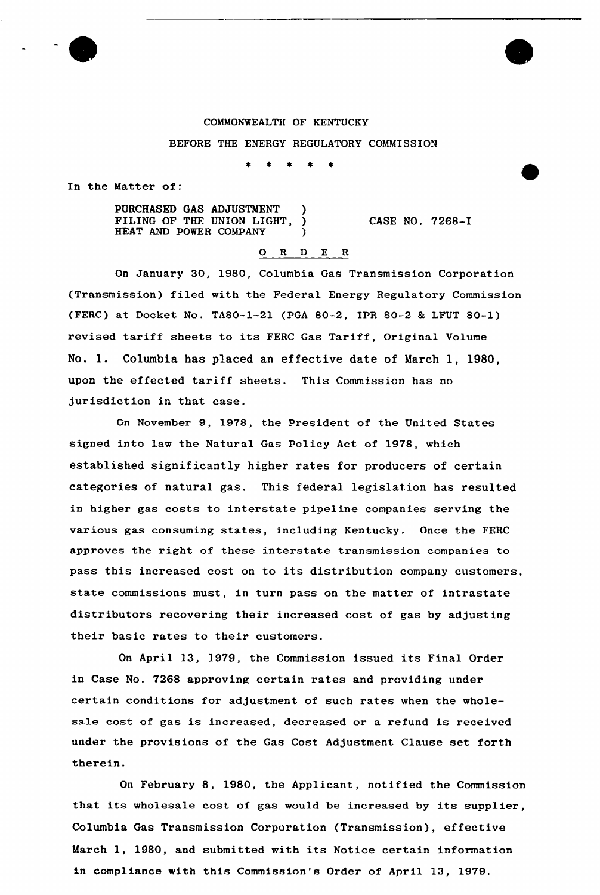## COMMONWEALTH OF KENTUCKY

## BEFORE THE ENERGY REGULATORY COMMISSION

 $*$   $*$ 

In the Matter of:

PURCHASED GAS ADJUSTMENT ) FILING OF THE UNION LIGHT, ) HEAT AND POWER COMPANY

CASE NO. 7268-I

## 0 <sup>R</sup> <sup>D</sup> E <sup>R</sup>

On January 30, 1980, Columbia Gas Transmission Corporation (Transmission) filed with the Federal Energy Regulatory Commission (FERC) at Docket No. TA80-1-21 (PGA 80-2, IPR 80-2 & LFUT 80-1) revised tariff sheets to its FERC Gas Tariff, Original Volume No. 1. Columbia has placed an effective date of March 1, 1980, upon the effected taxiff sheets. This Commission has no jurisdiction in that case.

Gn November 9, 1978, the President of the United States signed into law the Natural Gas Policy Act of 1978, which established significantly higher rates for producers of certain categories of natural gas. This federal legislation has resulted in highex gas costs to interstate pipeline companies serving the various gas consuming states, including Kentucky. Once the FERC approves the right of these interstate transmission companies to pass this increased cost on to its distribution company customers, state commissions must, in turn pass on the matter of intrastate distributors recovering their increased cost of gas by adjusting their basic rates to their customers.

On April 13, 1979, the Commission issued its Final Order in Case No. 7268 approving certain rates and providing under certain conditions for adjustment of such rates when the wholesale cost of gas is increased, decreased or a refund is received under the provisions of the Gas Cost Adjustment Clause set forth therein.

On February 8, 1980, the Applicant, notified the Commission that its wholesale cost of gas would be increased by its supplier, Columbia Gas Transmission Corporation (Transmission), effective March 1, 1980, and submitted with its Notice certain information in compliance with this Commission's Order of April 13, 1979.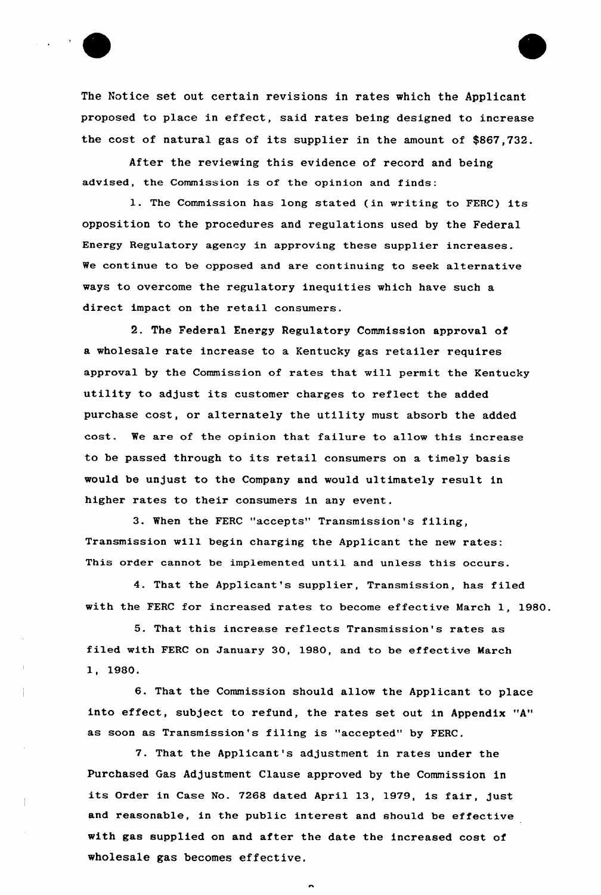

The Notice set out certain revisions in rates which the Applicant proposed to place in effect, said rates being designed to increase the cost of natural gas of its supplier in the amount of \$867,732.

After the reviewing this evidence of record and being advised, the Commission is of the opinion and finds:

1. The Commission has long stated (in writing to FERC) its opposition to the procedures and regulations used by the Federal Energy Regulatory agency in approving these supplier increases. We continue to be opposed and are continuing to seek alternative ways to overcome the regulatory inequities which have such a direct impact on the retail consumers.

2. The Federal Energy Regulatory Commission approval of a wholesale rate increase to a Kentucky gas retailer requires approval by the Commission of rates that will permit the Kentucky utility to adjust its customer charges to reflect the added purchase cost, or alternately the utility must absorb the added cost. We are of the opinion that failure to allow this increase to be passed through to its retail consumers on a timely basis would be unjust to the Company and would ultimately result in higher rates to their consumers in any event.

3. When the FERC "accepts" Transmission's filing, Transmission will begin charging the Applicant the new rates: This order cannot be implemented until and unless this occurs.

4. That the Applicant's supplier, Transmission, has filed with the FERC for increased rates to become effective March 1, 1980.

5. That this increase reflects Transmission's rates as filed with FERC on January 30, 1980, and to be effective March 1, 1980.

6. That the Commission should allow the Applicant to place into effect, subject to refund, the rates set out in Appendix "A" as soon as Transmission's filing is "accepted" by FERC.

7. That the Applicant's adjustment in rates under the Purchased Gas Adjustment Clause approved by the Commission in its Order in Case No. <sup>7268</sup> dated April 13, 1979, is fair, just and reasonable, in the public interest and should be effective with gas supplied on and after the date the increased cost of wholesale gas becomes effective,

 $\overline{a}$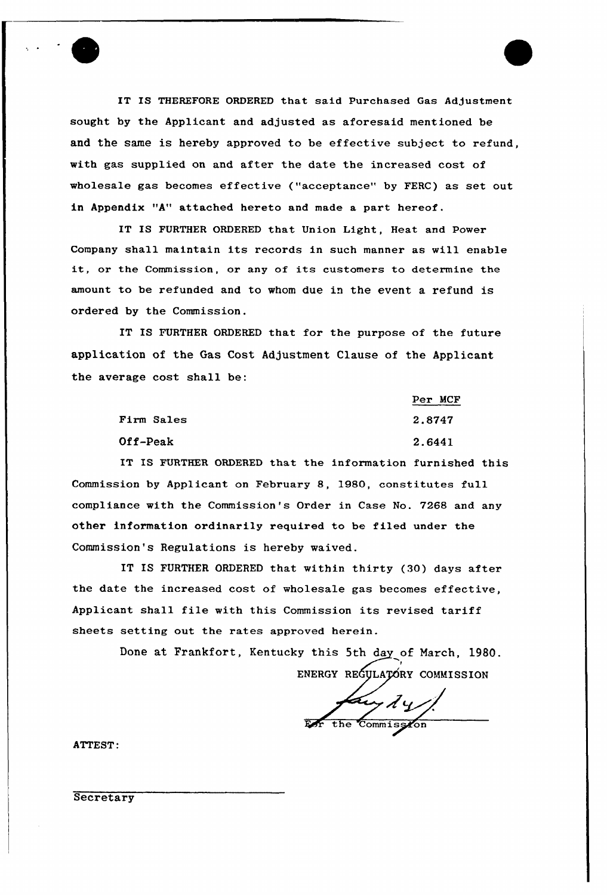IT IS THEREFORE ORDERED that said Purchased Gas Adjustment sought by the Applicant and adjusted as aforesaid mentioned be and the same is hereby approved to be effective subject to refund, with gas supplied on and after the date the increased cost of wholesale gas becomes effective ("acceptance" by FERC) as set out in Appendix "A" attached hereto and made a part hereof.

L

IT IS FURTHER ORDERED that Union Light, Heat and Power Company shall maintain its records in such manner as will enable it, or the Commission, or any of its customers to determine the amount to be refunded and to whom due in the event a refund is ordered by the Commission.

IT IS FURTHER ORDERED that for the purpose of the future application of the Gas Cost Adjustment Clause of the Applicant the average cost shall be:

|            | Per MCF |
|------------|---------|
| Firm Sales | 2.8747  |
| Off-Peak   | 2.6441  |

IT IS FURTHER ORDERED that the information furnished this Commission by Applicant on February 8, 1980, constitutes full compliance with the Commission's Order in Case No. 7268 and any other information ordinarily required to be filed under the Commission's Regulations is hereby waived.

IT IS FURTHER ORDERED that within thirty (30} days after the date the increased cost of wholesale gas becomes effective, Applicant shall file with this Commission its revised tariff sheets setting out the rates approved herein.

> Done at Frankfort, Kentucky this 5th day of March, 1980. I ENERGY REGYLAȚORY COMMISSIO

the Commission

ATTEST:

**Secretary**